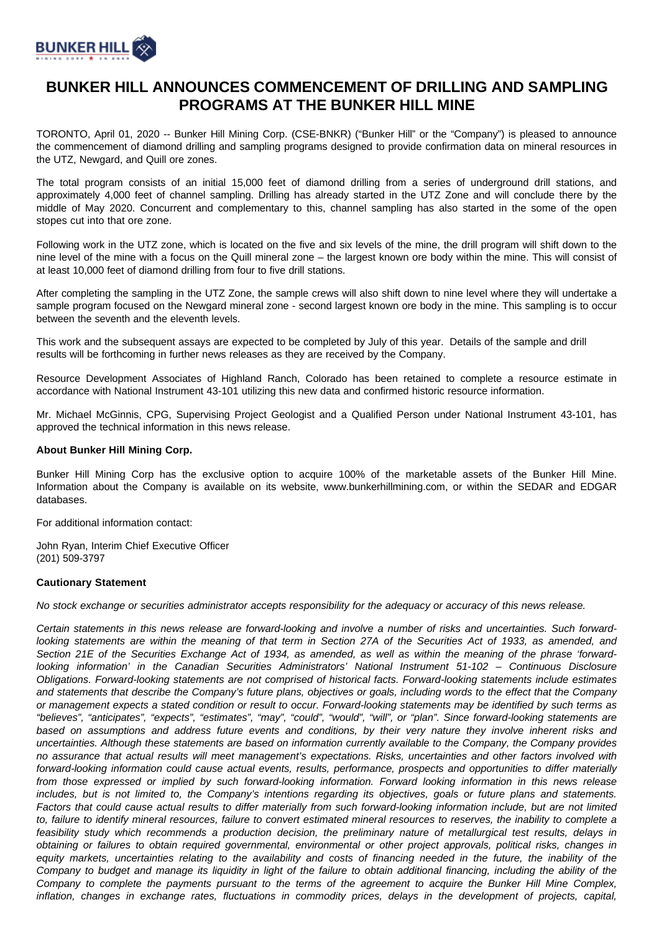

## **BUNKER HILL ANNOUNCES COMMENCEMENT OF DRILLING AND SAMPLING PROGRAMS AT THE BUNKER HILL MINE**

TORONTO, April 01, 2020 -- Bunker Hill Mining Corp. (CSE-BNKR) ("Bunker Hill" or the "Company") is pleased to announce the commencement of diamond drilling and sampling programs designed to provide confirmation data on mineral resources in the UTZ, Newgard, and Quill ore zones.

The total program consists of an initial 15,000 feet of diamond drilling from a series of underground drill stations, and approximately 4,000 feet of channel sampling. Drilling has already started in the UTZ Zone and will conclude there by the middle of May 2020. Concurrent and complementary to this, channel sampling has also started in the some of the open stopes cut into that ore zone.

Following work in the UTZ zone, which is located on the five and six levels of the mine, the drill program will shift down to the nine level of the mine with a focus on the Quill mineral zone – the largest known ore body within the mine. This will consist of at least 10,000 feet of diamond drilling from four to five drill stations.

After completing the sampling in the UTZ Zone, the sample crews will also shift down to nine level where they will undertake a sample program focused on the Newgard mineral zone - second largest known ore body in the mine. This sampling is to occur between the seventh and the eleventh levels.

This work and the subsequent assays are expected to be completed by July of this year. Details of the sample and drill results will be forthcoming in further news releases as they are received by the Company.

Resource Development Associates of Highland Ranch, Colorado has been retained to complete a resource estimate in accordance with National Instrument 43-101 utilizing this new data and confirmed historic resource information.

Mr. Michael McGinnis, CPG, Supervising Project Geologist and a Qualified Person under National Instrument 43-101, has approved the technical information in this news release.

## **About Bunker Hill Mining Corp.**

Bunker Hill Mining Corp has the exclusive option to acquire 100% of the marketable assets of the Bunker Hill Mine. Information about the Company is available on its website, www.bunkerhillmining.com, or within the SEDAR and EDGAR databases.

For additional information contact:

John Ryan, Interim Chief Executive Officer (201) 509-3797

## **Cautionary Statement**

No stock exchange or securities administrator accepts responsibility for the adequacy or accuracy of this news release.

Certain statements in this news release are forward-looking and involve a number of risks and uncertainties. Such forwardlooking statements are within the meaning of that term in Section 27A of the Securities Act of 1933, as amended, and Section 21E of the Securities Exchange Act of 1934, as amended, as well as within the meaning of the phrase 'forwardlooking information' in the Canadian Securities Administrators' National Instrument 51-102 – Continuous Disclosure Obligations. Forward-looking statements are not comprised of historical facts. Forward-looking statements include estimates and statements that describe the Company's future plans, objectives or goals, including words to the effect that the Company or management expects a stated condition or result to occur. Forward-looking statements may be identified by such terms as "believes", "anticipates", "expects", "estimates", "may", "could", "would", "will", or "plan". Since forward-looking statements are based on assumptions and address future events and conditions, by their very nature they involve inherent risks and uncertainties. Although these statements are based on information currently available to the Company, the Company provides no assurance that actual results will meet management's expectations. Risks, uncertainties and other factors involved with forward-looking information could cause actual events, results, performance, prospects and opportunities to differ materially from those expressed or implied by such forward-looking information. Forward looking information in this news release includes, but is not limited to, the Company's intentions regarding its objectives, goals or future plans and statements. Factors that could cause actual results to differ materially from such forward-looking information include, but are not limited to, failure to identify mineral resources, failure to convert estimated mineral resources to reserves, the inability to complete a feasibility study which recommends a production decision, the preliminary nature of metallurgical test results, delays in obtaining or failures to obtain required governmental, environmental or other project approvals, political risks, changes in equity markets, uncertainties relating to the availability and costs of financing needed in the future, the inability of the Company to budget and manage its liquidity in light of the failure to obtain additional financing, including the ability of the Company to complete the payments pursuant to the terms of the agreement to acquire the Bunker Hill Mine Complex, inflation, changes in exchange rates, fluctuations in commodity prices, delays in the development of projects, capital,